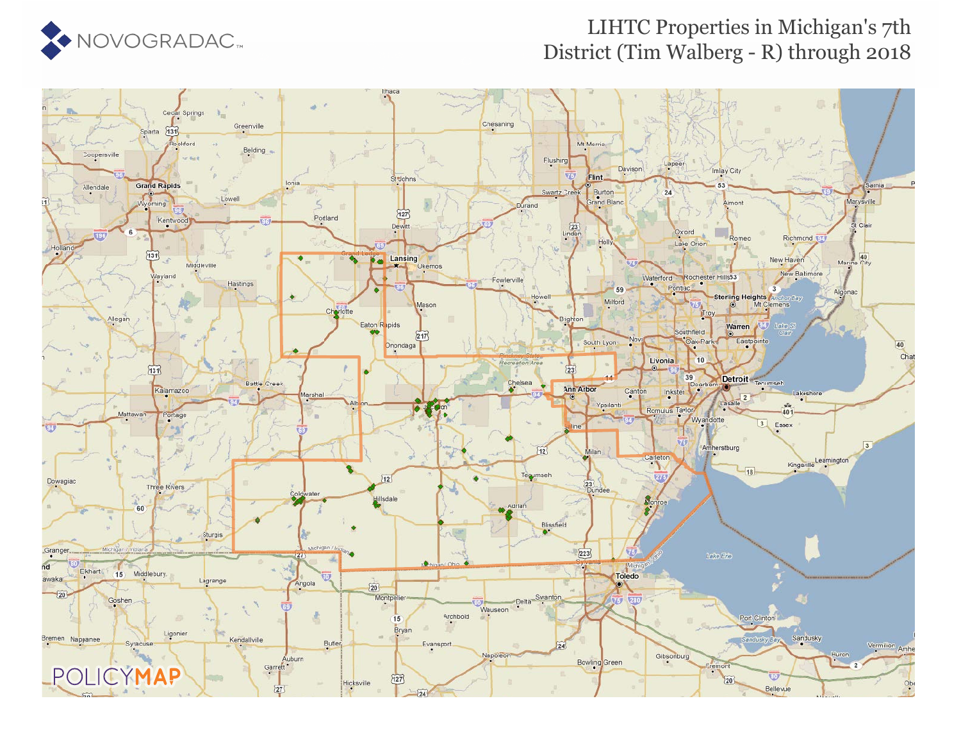

### LIHTC Properties in Michigan's 7th District (Tim Walberg - R) through 2018

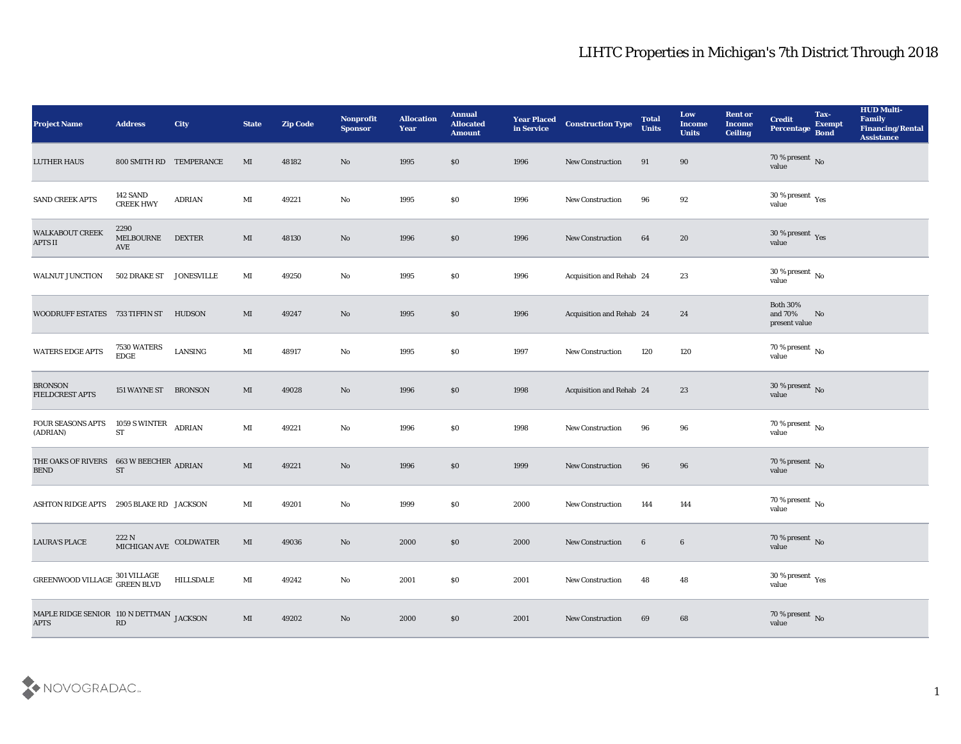| <b>Project Name</b>                                         | <b>Address</b>                    | <b>City</b>        | <b>State</b>           | <b>Zip Code</b> | Nonprofit<br><b>Sponsor</b> | <b>Allocation</b><br><b>Year</b> | <b>Annual</b><br><b>Allocated</b><br><b>Amount</b> | <b>Year Placed</b><br>in Service | <b>Construction Type</b> | <b>Total</b><br><b>Units</b> | Low<br><b>Income</b><br><b>Units</b> | <b>Rent or</b><br><b>Income</b><br>Ceiling | <b>Credit</b><br>Percentage                 | Tax-<br><b>Exempt</b><br><b>Bond</b> | <b>HUD Multi-</b><br>Family<br><b>Financing/Rental</b><br><b>Assistance</b> |
|-------------------------------------------------------------|-----------------------------------|--------------------|------------------------|-----------------|-----------------------------|----------------------------------|----------------------------------------------------|----------------------------------|--------------------------|------------------------------|--------------------------------------|--------------------------------------------|---------------------------------------------|--------------------------------------|-----------------------------------------------------------------------------|
| <b>LUTHER HAUS</b>                                          | 800 SMITH RD TEMPERANCE           |                    | MI                     | 48182           | No                          | 1995                             | \$0                                                | 1996                             | New Construction         | 91                           | 90                                   |                                            | $70\,\%$ present $\,$ No value              |                                      |                                                                             |
| SAND CREEK APTS                                             | 142 SAND<br><b>CREEK HWY</b>      | ADRIAN             | MI                     | 49221           | No                          | 1995                             | \$0                                                | 1996                             | New Construction         | 96                           | 92                                   |                                            | $30\,\%$ present $\,$ Yes value             |                                      |                                                                             |
| <b>WALKABOUT CREEK</b><br><b>APTS II</b>                    | 2290<br>MELBOURNE<br>AVE          | <b>DEXTER</b>      | MI                     | 48130           | No                          | 1996                             | \$0                                                | 1996                             | <b>New Construction</b>  | 64                           | 20                                   |                                            | $30\,\%$ present $\,$ Yes value             |                                      |                                                                             |
| <b>WALNUT JUNCTION</b>                                      | 502 DRAKE ST                      | <b>JONESVILLE</b>  | MI                     | 49250           | No                          | 1995                             | \$0                                                | 1996                             | Acquisition and Rehab 24 |                              | 23                                   |                                            | $30\,\%$ present $\,$ No value              |                                      |                                                                             |
| WOODRUFF ESTATES 733 TIFFIN ST                              |                                   | HUDSON             | MI                     | 49247           | No                          | 1995                             | \$0                                                | 1996                             | Acquisition and Rehab 24 |                              | 24                                   |                                            | <b>Both 30%</b><br>and 70%<br>present value | No                                   |                                                                             |
| WATERS EDGE APTS                                            | 7530 WATERS<br>${\rm EDGE}$       | LANSING            | $\mathbf{M}$ I         | 48917           | No                          | 1995                             | \$0                                                | 1997                             | <b>New Construction</b>  | 120                          | 120                                  |                                            | $70\,\%$ present $\,$ No value              |                                      |                                                                             |
| <b>BRONSON</b><br><b>FIELDCREST APTS</b>                    | 151 WAYNE ST BRONSON              |                    | MI                     | 49028           | No                          | 1996                             | \$0                                                | 1998                             | Acquisition and Rehab 24 |                              | 23                                   |                                            | $30\,\%$ present $\,$ No value              |                                      |                                                                             |
| FOUR SEASONS APTS<br>(ADRIAN)                               | 1059 S WINTER<br><b>ST</b>        | <b>ADRIAN</b>      | $\mathbf{M}$ I         | 49221           | No                          | 1996                             | \$0                                                | 1998                             | <b>New Construction</b>  | 96                           | 96                                   |                                            | $70\,\%$ present $\,$ No value              |                                      |                                                                             |
| THE OAKS OF RIVERS<br><b>BEND</b>                           | 663 W BEECHER ADRIAN<br><b>ST</b> |                    | MI                     | 49221           | No                          | 1996                             | \$0                                                | 1999                             | New Construction         | 96                           | 96                                   |                                            | $70\,\%$ present $\,$ No value              |                                      |                                                                             |
| ASHTON RIDGE APTS 2905 BLAKE RD JACKSON                     |                                   |                    | MI                     | 49201           | $\mathbf {No}$              | 1999                             | \$0                                                | 2000                             | New Construction         | 144                          | 144                                  |                                            | $70\,\%$ present $\,$ No value              |                                      |                                                                             |
| <b>LAURA'S PLACE</b>                                        | MICHIGAN AVE COLDWATER            |                    | MI                     | 49036           | No                          | 2000                             | \$0                                                | 2000                             | <b>New Construction</b>  | $6\phantom{.}6$              | $6\phantom{.}6$                      |                                            | $70\,\%$ present $\,$ No value              |                                      |                                                                             |
| GREENWOOD VILLAGE $^{301\, \rm VILLAGE}_{\rm GREEN\, BLVD}$ |                                   | $\mbox{HILLSDALE}$ | $\mathbf{M}$ I         | 49242           | $\mathbf {No}$              | 2001                             | $\$0$                                              | 2001                             | New Construction         | 48                           | ${\bf 48}$                           |                                            | $30\,\%$ present $\,$ Yes value             |                                      |                                                                             |
| MAPLE RIDGE SENIOR 110 N DETTMAN JACKSON<br><b>APTS</b>     | $\mathbf{R}\mathbf{D}$            |                    | $\mathbf{M}\mathbf{I}$ | 49202           | $\rm\thinspace No$          | 2000                             | \$0                                                | 2001                             | <b>New Construction</b>  | 69                           | $\bf 68$                             |                                            | $70\,\%$ present $\,$ No value              |                                      |                                                                             |

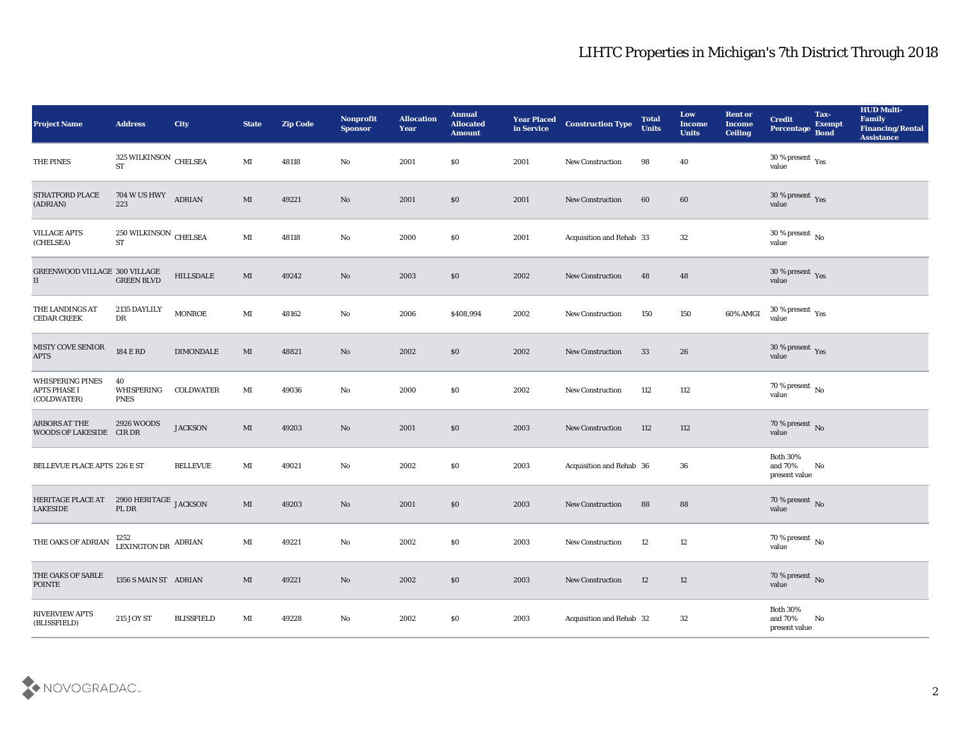| <b>Project Name</b>                                    | <b>Address</b>                                                                         | City              | <b>State</b>           | <b>Zip Code</b> | Nonprofit<br><b>Sponsor</b> | <b>Allocation</b><br><b>Year</b> | <b>Annual</b><br><b>Allocated</b><br><b>Amount</b> | <b>Year Placed</b><br>in Service | <b>Construction Type</b> | <b>Total</b><br><b>Units</b> | Low<br>Income<br><b>Units</b> | <b>Rent or</b><br><b>Income</b><br><b>Ceiling</b> | <b>Credit</b><br>Percentage                 | Tax-<br><b>Exempt</b><br><b>Bond</b> | <b>HUD Multi-</b><br>Family<br><b>Financing/Rental</b><br><b>Assistance</b> |
|--------------------------------------------------------|----------------------------------------------------------------------------------------|-------------------|------------------------|-----------------|-----------------------------|----------------------------------|----------------------------------------------------|----------------------------------|--------------------------|------------------------------|-------------------------------|---------------------------------------------------|---------------------------------------------|--------------------------------------|-----------------------------------------------------------------------------|
| THE PINES                                              | $325\,$ WILKINSON $\,$ CHELSEA ST                                                      |                   | MI                     | 48118           | No                          | 2001                             | $\$0$                                              | 2001                             | <b>New Construction</b>  | 98                           | 40                            |                                                   | $30\,\%$ present $\,$ Yes value             |                                      |                                                                             |
| STRATFORD PLACE<br>(ADRIAN)                            | 704 W US HWY ADRIAN<br>223                                                             |                   | MI                     | 49221           | No                          | 2001                             | \$0                                                | 2001                             | <b>New Construction</b>  | 60                           | 60                            |                                                   | $30\,\%$ present $\,$ Yes value             |                                      |                                                                             |
| <b>VILLAGE APTS</b><br>(CHELSEA)                       | 250 WILKINSON CHELSEA<br>$\operatorname{ST}$                                           |                   | $\mathbf{M}$           | 48118           | No                          | 2000                             | \$0                                                | 2001                             | Acquisition and Rehab 33 |                              | 32                            |                                                   | 30 % present $\,$ No $\,$<br>value          |                                      |                                                                             |
| GREENWOOD VILLAGE 300 VILLAGE<br>$\rm II$              | <b>GREEN BLVD</b>                                                                      | HILLSDALE         | MI                     | 49242           | No                          | 2003                             | \$0                                                | 2002                             | New Construction         | 48                           | 48                            |                                                   | $30\,\%$ present $\,$ Yes value             |                                      |                                                                             |
| THE LANDINGS AT<br><b>CEDAR CREEK</b>                  | 2135 DAYLILY<br>DR                                                                     | <b>MONROE</b>     | MI                     | 48162           | No                          | 2006                             | \$408,994                                          | 2002                             | <b>New Construction</b>  | 150                          | 150                           | 60% AMGI                                          | $30\,\%$ present $\,$ Yes value             |                                      |                                                                             |
| MISTY COVE SENIOR<br><b>APTS</b>                       | <b>184 E RD</b>                                                                        | <b>DIMONDALE</b>  | MI                     | 48821           | No                          | 2002                             | \$0                                                | 2002                             | <b>New Construction</b>  | 33                           | 26                            |                                                   | $30\,\%$ present $\,$ Yes value             |                                      |                                                                             |
| WHISPERING PINES<br><b>APTS PHASE I</b><br>(COLDWATER) | 40<br>WHISPERING<br><b>PNES</b>                                                        | <b>COLDWATER</b>  | MI                     | 49036           | $\mathbf{N}\mathbf{o}$      | 2000                             | \$0                                                | 2002                             | <b>New Construction</b>  | 112                          | 112                           |                                                   | $70\,\%$ present $\,$ No value              |                                      |                                                                             |
| <b>ARBORS AT THE</b><br>WOODS OF LAKESIDE CIR DR       | 2926 WOODS                                                                             | <b>JACKSON</b>    | MI                     | 49203           | No                          | 2001                             | \$0                                                | 2003                             | <b>New Construction</b>  | 112                          | 112                           |                                                   | $70\,\%$ present $${\rm No}$$ value         |                                      |                                                                             |
| BELLEVUE PLACE APTS 226 E ST                           |                                                                                        | <b>BELLEVUE</b>   | MI                     | 49021           | No                          | 2002                             | $\$0$                                              | 2003                             | Acquisition and Rehab 36 |                              | 36                            |                                                   | <b>Both 30%</b><br>and 70%<br>present value | No                                   |                                                                             |
| HERITAGE PLACE AT<br><b>LAKESIDE</b>                   | $\,$ 2900 HERITAGE $\,$ JACKSON $\,$<br>$\ensuremath{\mathsf{PL}}\xspace\,\textsc{DR}$ |                   | $\mathbf{M}\mathbf{I}$ | 49203           | No                          | 2001                             | \$0                                                | 2003                             | <b>New Construction</b>  | 88                           | 88                            |                                                   | $70\,\%$ present $\,$ No value              |                                      |                                                                             |
| THE OAKS OF ADRIAN                                     | 1252<br>LEXINGTON DR ADRIAN                                                            |                   | MI                     | 49221           | No                          | 2002                             | \$0                                                | 2003                             | <b>New Construction</b>  | 12                           | 12                            |                                                   | 70 % present No<br>value                    |                                      |                                                                             |
| THE OAKS OF SABLE<br><b>POINTE</b>                     | 1356 S MAIN ST ADRIAN                                                                  |                   | $\mathbf{M}\mathbf{I}$ | 49221           | $\rm\thinspace No$          | 2002                             | $\$0$                                              | 2003                             | New Construction         | 12                           | 12                            |                                                   | 70 % present No<br>value                    |                                      |                                                                             |
| <b>RIVERVIEW APTS</b><br>(BLISSFIELD)                  | 215 JOY ST                                                                             | <b>BLISSFIELD</b> | $\mathbf{M}$           | 49228           | $\mathbf {No}$              | 2002                             | $\$0$                                              | 2003                             | Acquisition and Rehab 32 |                              | $32\,$                        |                                                   | Both $30\%$<br>and 70%<br>present value     | No                                   |                                                                             |

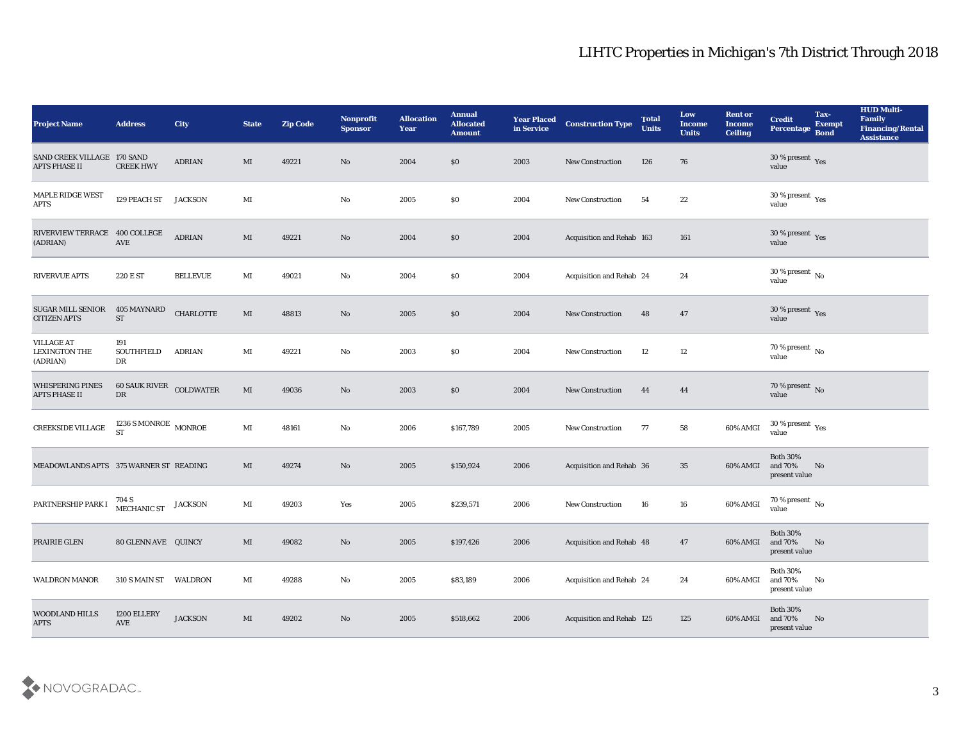| <b>Project Name</b>                                   | <b>Address</b>                           | <b>City</b>      | <b>State</b>   | <b>Zip Code</b> | Nonprofit<br><b>Sponsor</b> | <b>Allocation</b><br><b>Year</b> | <b>Annual</b><br><b>Allocated</b><br><b>Amount</b> | <b>Year Placed</b><br>in Service | <b>Construction Type</b>  | <b>Total</b><br><b>Units</b> | Low<br><b>Income</b><br><b>Units</b> | <b>Rent or</b><br><b>Income</b><br><b>Ceiling</b> | <b>Credit</b><br>Percentage                   | Tax-<br><b>Exempt</b><br><b>Bond</b> | <b>HUD Multi-</b><br>Family<br><b>Financing/Rental</b><br><b>Assistance</b> |
|-------------------------------------------------------|------------------------------------------|------------------|----------------|-----------------|-----------------------------|----------------------------------|----------------------------------------------------|----------------------------------|---------------------------|------------------------------|--------------------------------------|---------------------------------------------------|-----------------------------------------------|--------------------------------------|-----------------------------------------------------------------------------|
| SAND CREEK VILLAGE 170 SAND<br><b>APTS PHASE II</b>   | <b>CREEK HWY</b>                         | <b>ADRIAN</b>    | MI             | 49221           | No                          | 2004                             | \$0                                                | 2003                             | <b>New Construction</b>   | 126                          | 76                                   |                                                   | $30\,\%$ present $\,$ Yes value               |                                      |                                                                             |
| MAPLE RIDGE WEST<br><b>APTS</b>                       | 129 PEACH ST                             | <b>JACKSON</b>   | $\mathbf{M}$ I |                 | No                          | 2005                             | \$0                                                | 2004                             | New Construction          | 54                           | 22                                   |                                                   | $30\,\%$ present $\,$ Yes value               |                                      |                                                                             |
| RIVERVIEW TERRACE 400 COLLEGE<br>(ADRIAN)             | AVE                                      | ADRIAN           | MI             | 49221           | No                          | 2004                             | \$0                                                | 2004                             | Acquisition and Rehab 163 |                              | 161                                  |                                                   | $30\,\%$ present $\,$ Yes value               |                                      |                                                                             |
| <b>RIVERVUE APTS</b>                                  | 220 E ST                                 | <b>BELLEVUE</b>  | $\mathbf{M}$ I | 49021           | No                          | 2004                             | \$0                                                | 2004                             | Acquisition and Rehab 24  |                              | 24                                   |                                                   | $30\,\%$ present $\,$ No value                |                                      |                                                                             |
| <b>SUGAR MILL SENIOR</b><br><b>CITIZEN APTS</b>       | 405 MAYNARD<br><b>ST</b>                 | <b>CHARLOTTE</b> | MI             | 48813           | No                          | 2005                             | \$0                                                | 2004                             | <b>New Construction</b>   | 48                           | 47                                   |                                                   | $30\,\%$ present $\,$ Yes value               |                                      |                                                                             |
| <b>VILLAGE AT</b><br><b>LEXINGTON THE</b><br>(ADRIAN) | 191<br>SOUTHFIELD<br>DR                  | <b>ADRIAN</b>    | MI             | 49221           | No                          | 2003                             | \$0                                                | 2004                             | New Construction          | 12                           | 12                                   |                                                   | $70\,\%$ present $\,$ No value                |                                      |                                                                             |
| <b>WHISPERING PINES</b><br><b>APTS PHASE II</b>       | <b>60 SAUK RIVER COLDWATER</b><br>DR     |                  | $\mathbf{M}$   | 49036           | No                          | 2003                             | \$0                                                | 2004                             | New Construction          | 44                           | 44                                   |                                                   | $70\,\%$ present $\,$ No $\,$ value           |                                      |                                                                             |
| CREEKSIDE VILLAGE                                     | $1236$ S MONROE $\,$ MONROE<br><b>ST</b> |                  | $\mathbf{M}$ I | 48161           | No                          | 2006                             | \$167,789                                          | 2005                             | <b>New Construction</b>   | 77                           | 58                                   | 60% AMGI                                          | 30 % present $\,\rm \gamma_{\rm es}$<br>value |                                      |                                                                             |
| MEADOWLANDS APTS 375 WARNER ST READING                |                                          |                  | MI             | 49274           | No                          | 2005                             | \$150,924                                          | 2006                             | Acquisition and Rehab 36  |                              | 35                                   | 60% AMGI                                          | <b>Both 30%</b><br>and 70%<br>present value   | No                                   |                                                                             |
| PARTNERSHIP PARK I                                    | 704 S<br>MECHANIC ST                     | <b>JACKSON</b>   | $\mathbf{M}$ I | 49203           | Yes                         | 2005                             | \$239,571                                          | 2006                             | <b>New Construction</b>   | 16                           | 16                                   | 60% AMGI                                          | $70\,\%$ present $\,$ No value                |                                      |                                                                             |
| PRAIRIE GLEN                                          | 80 GLENN AVE QUINCY                      |                  | MI             | 49082           | No                          | 2005                             | \$197,426                                          | 2006                             | Acquisition and Rehab 48  |                              | 47                                   | 60% AMGI and 70%                                  | <b>Both 30%</b><br>present value              | No                                   |                                                                             |
| <b>WALDRON MANOR</b>                                  | 310 S MAIN ST WALDRON                    |                  | $\mathbf{M}$ I | 49288           | $\rm\thinspace No$          | 2005                             | \$83,189                                           | 2006                             | Acquisition and Rehab 24  |                              | 24                                   | 60% AMGI                                          | <b>Both 30%</b><br>and 70%<br>present value   | No                                   |                                                                             |
| WOODLAND HILLS<br><b>APTS</b>                         | 1200 ELLERY<br>AVE                       | <b>JACKSON</b>   | $\mathbf{M}$   | 49202           | $\rm\thinspace No$          | 2005                             | \$518,662                                          | 2006                             | Acquisition and Rehab 125 |                              | 125                                  | 60% AMGI                                          | <b>Both 30%</b><br>and 70%<br>present value   | N <sub>o</sub>                       |                                                                             |

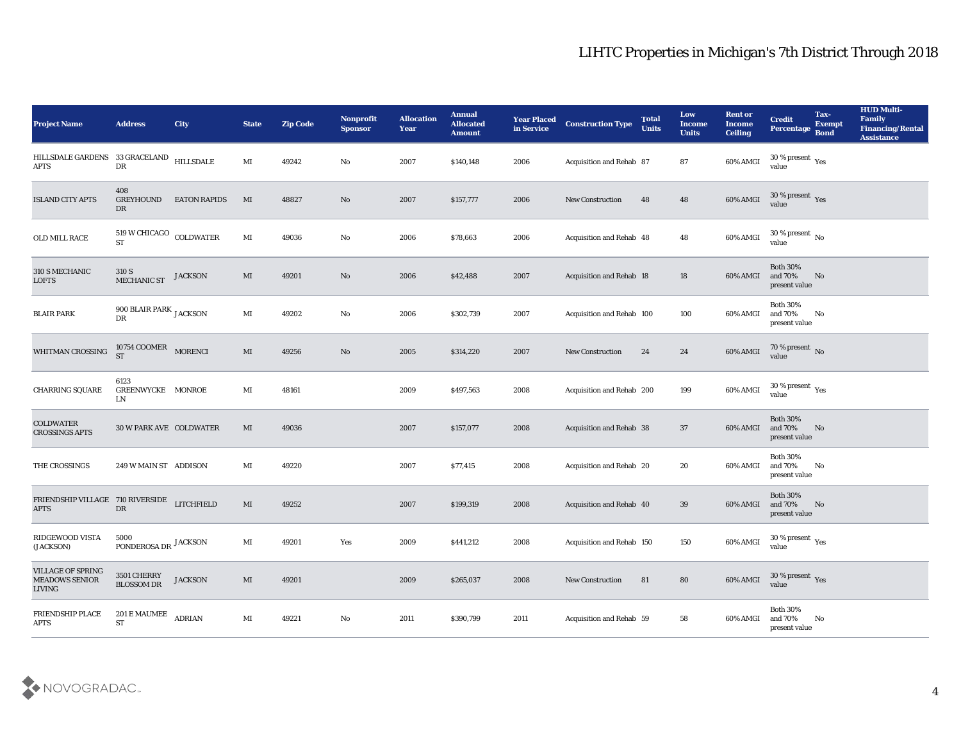| HILLSDALE GARDENS 33 GRACELAND HILLSDALE<br>$30\,\%$ present $\,$ Yes value<br>MI<br>2007<br>60% AMGI<br>49242<br>No<br>\$140,148<br>2006<br>Acquisition and Rehab 87<br>87<br>DR<br><b>APTS</b><br>408<br>$30\,\%$ present $\,$ Yes value<br>60% AMGI<br><b>ISLAND CITY APTS</b><br>GREYHOUND<br><b>EATON RAPIDS</b><br>MI<br>48827<br>2007<br>\$157,777<br>48<br>48<br>No<br>2006<br><b>New Construction</b><br>DR<br>$519\,\rm{W}$ CHICAGO $\,$ COLDWATER<br>30 % present $\,$ No $\,$<br>$\mathbf{M}$ I<br>OLD MILL RACE<br>49036<br>No<br>2006<br>\$78,663<br>2006<br>Acquisition and Rehab 48<br>48<br>60% AMGI<br>value<br><b>ST</b><br><b>Both 30%</b><br>310 S MECHANIC<br>310 S<br>and 70%<br><b>JACKSON</b><br>MI<br>49201<br>No<br>2006<br>18<br>60% AMGI<br>\$42,488<br>2007<br><b>Acquisition and Rehab 18</b><br>No<br>MECHANIC ST<br><b>LOFTS</b><br>present value<br><b>Both 30%</b><br>900 BLAIR PARK $_{\rm JACKSON}$<br>MI<br>2006<br><b>BLAIR PARK</b><br>49202<br>No<br>\$302,739<br>2007<br>Acquisition and Rehab 100<br>100<br>and 70%<br>60% AMGI<br>No<br>DR<br>present value<br>10754 COOMER MORENCI<br>$70\,\%$ present $\,$ No value<br>WHITMAN CROSSING<br>60% AMGI<br>MI<br>49256<br>No<br>2005<br>24<br>24<br>\$314,220<br>2007<br><b>New Construction</b><br><b>ST</b><br>6123<br>$30\,\%$ present $\,$ Yes value<br>199<br>60% AMGI<br><b>CHARRING SQUARE</b><br>GREENWYCKE MONROE<br>MI<br>48161<br>2009<br>\$497,563<br>2008<br>Acquisition and Rehab 200<br>LN<br><b>Both 30%</b><br><b>COLDWATER</b><br>and 70%<br>MI<br>49036<br>2007<br>60% AMGI<br><b>30 W PARK AVE COLDWATER</b><br>\$157,077<br>2008<br>Acquisition and Rehab 38<br>37<br>No<br><b>CROSSINGS APTS</b><br>present value<br><b>Both 30%</b><br>THE CROSSINGS<br>MI<br>49220<br>2007<br>\$77,415<br>20<br>60% AMGI<br>and 70%<br>249 W MAIN ST ADDISON<br>2008<br>Acquisition and Rehab 20<br>No<br>present value<br><b>Both 30%</b><br>FRIENDSHIP VILLAGE 710 RIVERSIDE LITCHFIELD<br>$\mathbf{M}\mathbf{I}$<br>49252<br>2007<br>\$199,319<br>2008<br>39<br>and 70%<br>Acquisition and Rehab 40<br>60% AMGI<br>No<br>DR<br><b>APTS</b><br>present value<br>RIDGEWOOD VISTA<br>5000<br>$30\,\%$ present $\,$ $\rm Yes$<br>PONDEROSA DR JACKSON<br>MI<br>49201<br>2009<br>150<br>60% AMGI<br>Yes<br>\$441,212<br>2008<br>Acquisition and Rehab 150<br>value<br>(JACKSON)<br><b>VILLAGE OF SPRING</b><br>3501 CHERRY<br>$30\,\%$ present $\,$ Yes value<br><b>MEADOWS SENIOR</b><br><b>JACKSON</b><br>$\mathbf{M}\mathbf{I}$<br>49201<br>2009<br>81<br>80<br>60% AMGI<br>\$265,037<br>2008<br>New Construction<br><b>BLOSSOM DR</b><br><b>LIVING</b><br><b>Both 30%</b><br>FRIENDSHIP PLACE<br>201 E MAUMEE<br><b>ADRIAN</b><br>$\mathbf {No}$<br>and 70%<br>$\mathbf{M}$<br>49221<br>2011<br>2011<br>58<br>\$390,799<br>Acquisition and Rehab 59<br>60% AMGI<br>No<br><b>ST</b><br><b>APTS</b><br>present value | <b>Project Name</b> | <b>Address</b> | City | <b>State</b> | <b>Zip Code</b> | Nonprofit<br><b>Sponsor</b> | <b>Allocation</b><br><b>Year</b> | <b>Annual</b><br><b>Allocated</b><br><b>Amount</b> | <b>Year Placed</b><br>in Service | <b>Construction Type</b> | <b>Total</b><br><b>Units</b> | Low<br><b>Income</b><br><b>Units</b> | <b>Rent or</b><br><b>Income</b><br><b>Ceiling</b> | <b>Credit</b><br>Percentage | Tax-<br><b>Exempt</b><br><b>Bond</b> | <b>HUD Multi-</b><br>Family<br><b>Financing/Rental</b><br><b>Assistance</b> |
|------------------------------------------------------------------------------------------------------------------------------------------------------------------------------------------------------------------------------------------------------------------------------------------------------------------------------------------------------------------------------------------------------------------------------------------------------------------------------------------------------------------------------------------------------------------------------------------------------------------------------------------------------------------------------------------------------------------------------------------------------------------------------------------------------------------------------------------------------------------------------------------------------------------------------------------------------------------------------------------------------------------------------------------------------------------------------------------------------------------------------------------------------------------------------------------------------------------------------------------------------------------------------------------------------------------------------------------------------------------------------------------------------------------------------------------------------------------------------------------------------------------------------------------------------------------------------------------------------------------------------------------------------------------------------------------------------------------------------------------------------------------------------------------------------------------------------------------------------------------------------------------------------------------------------------------------------------------------------------------------------------------------------------------------------------------------------------------------------------------------------------------------------------------------------------------------------------------------------------------------------------------------------------------------------------------------------------------------------------------------------------------------------------------------------------------------------------------------------------------------------------------------------------------------------------------------------------------------------------------------------------------------------------------------------------------------------------------------------------------------------------------------------------------------------------------------------------------------------------------------------------------------------------------------|---------------------|----------------|------|--------------|-----------------|-----------------------------|----------------------------------|----------------------------------------------------|----------------------------------|--------------------------|------------------------------|--------------------------------------|---------------------------------------------------|-----------------------------|--------------------------------------|-----------------------------------------------------------------------------|
|                                                                                                                                                                                                                                                                                                                                                                                                                                                                                                                                                                                                                                                                                                                                                                                                                                                                                                                                                                                                                                                                                                                                                                                                                                                                                                                                                                                                                                                                                                                                                                                                                                                                                                                                                                                                                                                                                                                                                                                                                                                                                                                                                                                                                                                                                                                                                                                                                                                                                                                                                                                                                                                                                                                                                                                                                                                                                                                        |                     |                |      |              |                 |                             |                                  |                                                    |                                  |                          |                              |                                      |                                                   |                             |                                      |                                                                             |
|                                                                                                                                                                                                                                                                                                                                                                                                                                                                                                                                                                                                                                                                                                                                                                                                                                                                                                                                                                                                                                                                                                                                                                                                                                                                                                                                                                                                                                                                                                                                                                                                                                                                                                                                                                                                                                                                                                                                                                                                                                                                                                                                                                                                                                                                                                                                                                                                                                                                                                                                                                                                                                                                                                                                                                                                                                                                                                                        |                     |                |      |              |                 |                             |                                  |                                                    |                                  |                          |                              |                                      |                                                   |                             |                                      |                                                                             |
|                                                                                                                                                                                                                                                                                                                                                                                                                                                                                                                                                                                                                                                                                                                                                                                                                                                                                                                                                                                                                                                                                                                                                                                                                                                                                                                                                                                                                                                                                                                                                                                                                                                                                                                                                                                                                                                                                                                                                                                                                                                                                                                                                                                                                                                                                                                                                                                                                                                                                                                                                                                                                                                                                                                                                                                                                                                                                                                        |                     |                |      |              |                 |                             |                                  |                                                    |                                  |                          |                              |                                      |                                                   |                             |                                      |                                                                             |
|                                                                                                                                                                                                                                                                                                                                                                                                                                                                                                                                                                                                                                                                                                                                                                                                                                                                                                                                                                                                                                                                                                                                                                                                                                                                                                                                                                                                                                                                                                                                                                                                                                                                                                                                                                                                                                                                                                                                                                                                                                                                                                                                                                                                                                                                                                                                                                                                                                                                                                                                                                                                                                                                                                                                                                                                                                                                                                                        |                     |                |      |              |                 |                             |                                  |                                                    |                                  |                          |                              |                                      |                                                   |                             |                                      |                                                                             |
|                                                                                                                                                                                                                                                                                                                                                                                                                                                                                                                                                                                                                                                                                                                                                                                                                                                                                                                                                                                                                                                                                                                                                                                                                                                                                                                                                                                                                                                                                                                                                                                                                                                                                                                                                                                                                                                                                                                                                                                                                                                                                                                                                                                                                                                                                                                                                                                                                                                                                                                                                                                                                                                                                                                                                                                                                                                                                                                        |                     |                |      |              |                 |                             |                                  |                                                    |                                  |                          |                              |                                      |                                                   |                             |                                      |                                                                             |
|                                                                                                                                                                                                                                                                                                                                                                                                                                                                                                                                                                                                                                                                                                                                                                                                                                                                                                                                                                                                                                                                                                                                                                                                                                                                                                                                                                                                                                                                                                                                                                                                                                                                                                                                                                                                                                                                                                                                                                                                                                                                                                                                                                                                                                                                                                                                                                                                                                                                                                                                                                                                                                                                                                                                                                                                                                                                                                                        |                     |                |      |              |                 |                             |                                  |                                                    |                                  |                          |                              |                                      |                                                   |                             |                                      |                                                                             |
|                                                                                                                                                                                                                                                                                                                                                                                                                                                                                                                                                                                                                                                                                                                                                                                                                                                                                                                                                                                                                                                                                                                                                                                                                                                                                                                                                                                                                                                                                                                                                                                                                                                                                                                                                                                                                                                                                                                                                                                                                                                                                                                                                                                                                                                                                                                                                                                                                                                                                                                                                                                                                                                                                                                                                                                                                                                                                                                        |                     |                |      |              |                 |                             |                                  |                                                    |                                  |                          |                              |                                      |                                                   |                             |                                      |                                                                             |
|                                                                                                                                                                                                                                                                                                                                                                                                                                                                                                                                                                                                                                                                                                                                                                                                                                                                                                                                                                                                                                                                                                                                                                                                                                                                                                                                                                                                                                                                                                                                                                                                                                                                                                                                                                                                                                                                                                                                                                                                                                                                                                                                                                                                                                                                                                                                                                                                                                                                                                                                                                                                                                                                                                                                                                                                                                                                                                                        |                     |                |      |              |                 |                             |                                  |                                                    |                                  |                          |                              |                                      |                                                   |                             |                                      |                                                                             |
|                                                                                                                                                                                                                                                                                                                                                                                                                                                                                                                                                                                                                                                                                                                                                                                                                                                                                                                                                                                                                                                                                                                                                                                                                                                                                                                                                                                                                                                                                                                                                                                                                                                                                                                                                                                                                                                                                                                                                                                                                                                                                                                                                                                                                                                                                                                                                                                                                                                                                                                                                                                                                                                                                                                                                                                                                                                                                                                        |                     |                |      |              |                 |                             |                                  |                                                    |                                  |                          |                              |                                      |                                                   |                             |                                      |                                                                             |
|                                                                                                                                                                                                                                                                                                                                                                                                                                                                                                                                                                                                                                                                                                                                                                                                                                                                                                                                                                                                                                                                                                                                                                                                                                                                                                                                                                                                                                                                                                                                                                                                                                                                                                                                                                                                                                                                                                                                                                                                                                                                                                                                                                                                                                                                                                                                                                                                                                                                                                                                                                                                                                                                                                                                                                                                                                                                                                                        |                     |                |      |              |                 |                             |                                  |                                                    |                                  |                          |                              |                                      |                                                   |                             |                                      |                                                                             |
|                                                                                                                                                                                                                                                                                                                                                                                                                                                                                                                                                                                                                                                                                                                                                                                                                                                                                                                                                                                                                                                                                                                                                                                                                                                                                                                                                                                                                                                                                                                                                                                                                                                                                                                                                                                                                                                                                                                                                                                                                                                                                                                                                                                                                                                                                                                                                                                                                                                                                                                                                                                                                                                                                                                                                                                                                                                                                                                        |                     |                |      |              |                 |                             |                                  |                                                    |                                  |                          |                              |                                      |                                                   |                             |                                      |                                                                             |
|                                                                                                                                                                                                                                                                                                                                                                                                                                                                                                                                                                                                                                                                                                                                                                                                                                                                                                                                                                                                                                                                                                                                                                                                                                                                                                                                                                                                                                                                                                                                                                                                                                                                                                                                                                                                                                                                                                                                                                                                                                                                                                                                                                                                                                                                                                                                                                                                                                                                                                                                                                                                                                                                                                                                                                                                                                                                                                                        |                     |                |      |              |                 |                             |                                  |                                                    |                                  |                          |                              |                                      |                                                   |                             |                                      |                                                                             |
|                                                                                                                                                                                                                                                                                                                                                                                                                                                                                                                                                                                                                                                                                                                                                                                                                                                                                                                                                                                                                                                                                                                                                                                                                                                                                                                                                                                                                                                                                                                                                                                                                                                                                                                                                                                                                                                                                                                                                                                                                                                                                                                                                                                                                                                                                                                                                                                                                                                                                                                                                                                                                                                                                                                                                                                                                                                                                                                        |                     |                |      |              |                 |                             |                                  |                                                    |                                  |                          |                              |                                      |                                                   |                             |                                      |                                                                             |

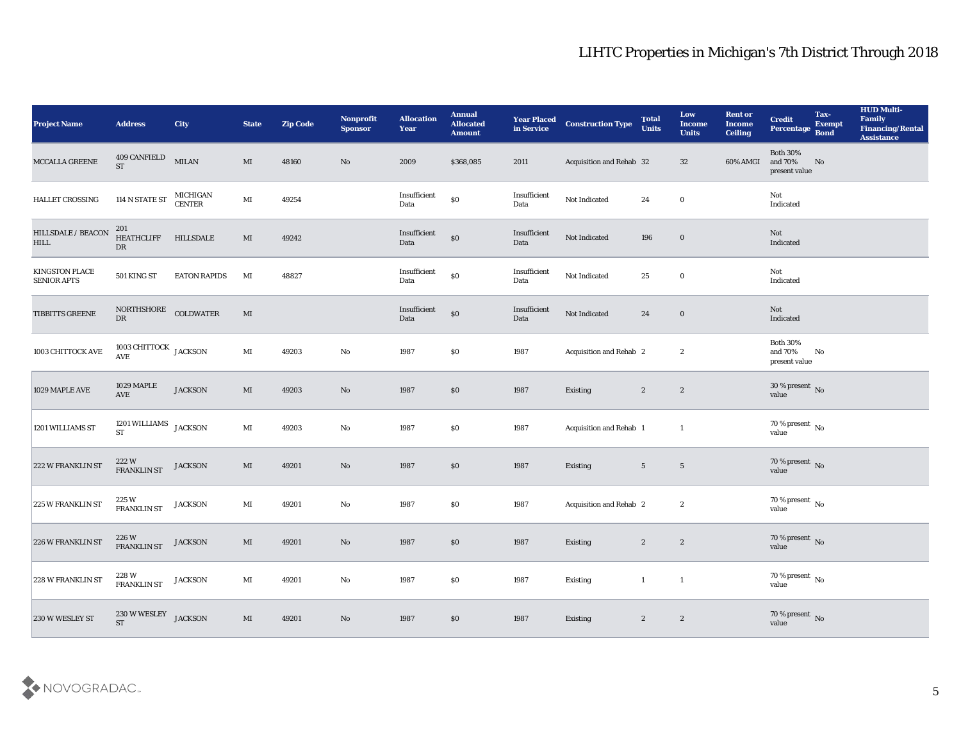| <b>Project Name</b>                  | <b>Address</b>                                 | <b>City</b>                      | <b>State</b>           | <b>Zip Code</b> | Nonprofit<br><b>Sponsor</b> | <b>Allocation</b><br><b>Year</b> | <b>Annual</b><br><b>Allocated</b><br><b>Amount</b> | <b>Year Placed</b><br>in Service | <b>Construction Type</b> | <b>Total</b><br><b>Units</b> | Low<br><b>Income</b><br><b>Units</b> | <b>Rent or</b><br><b>Income</b><br><b>Ceiling</b> | <b>Credit</b><br>Percentage                    | Tax-<br><b>Exempt</b><br><b>Bond</b> | <b>HUD Multi-</b><br>Family<br><b>Financing/Rental</b><br><b>Assistance</b> |
|--------------------------------------|------------------------------------------------|----------------------------------|------------------------|-----------------|-----------------------------|----------------------------------|----------------------------------------------------|----------------------------------|--------------------------|------------------------------|--------------------------------------|---------------------------------------------------|------------------------------------------------|--------------------------------------|-----------------------------------------------------------------------------|
| MCCALLA GREENE                       | 409 CANFIELD<br><b>ST</b>                      | <b>MILAN</b>                     | MI                     | 48160           | No                          | 2009                             | \$368,085                                          | 2011                             | Acquisition and Rehab 32 |                              | 32                                   | 60% AMGI                                          | <b>Both 30%</b><br>and 70%<br>present value    | No                                   |                                                                             |
| HALLET CROSSING                      | $114$ N STATE ST                               | <b>MICHIGAN</b><br><b>CENTER</b> | $\mathbf{M}\mathbf{I}$ | 49254           |                             | Insufficient<br>Data             | $\$0$                                              | Insufficient<br>Data             | Not Indicated            | 24                           | $\bf{0}$                             |                                                   | Not<br>Indicated                               |                                      |                                                                             |
| HILLSDALE / BEACON<br>HILL           | 201<br><b>HEATHCLIFF</b><br>DR                 | HILLSDALE                        | $\mathbf{M}\mathbf{I}$ | 49242           |                             | Insufficient<br>Data             | $\$0$                                              | Insufficient<br>Data             | Not Indicated            | 196                          | $\boldsymbol{0}$                     |                                                   | Not<br>Indicated                               |                                      |                                                                             |
| KINGSTON PLACE<br><b>SENIOR APTS</b> | 501 KING ST                                    | <b>EATON RAPIDS</b>              | MI                     | 48827           |                             | Insufficient<br>Data             | $\$0$                                              | Insufficient<br>Data             | Not Indicated            | 25                           | $\bf{0}$                             |                                                   | Not<br>Indicated                               |                                      |                                                                             |
| TIBBITTS GREENE                      | NORTHSHORE COLDWATER<br>$\mathbf{D}\mathbf{R}$ |                                  | MI                     |                 |                             | Insufficient<br>Data             | $\$0$                                              | Insufficient<br>Data             | Not Indicated            | 24                           | $\bf{0}$                             |                                                   | Not<br>Indicated                               |                                      |                                                                             |
| 1003 CHITTOCK AVE                    | 1003 CHITTOCK JACKSON<br>$\operatorname{AVE}$  |                                  | $\mathbf{M}\mathbf{I}$ | 49203           | $\mathbf {No}$              | 1987                             | \$0                                                | 1987                             | Acquisition and Rehab 2  |                              | $\boldsymbol{2}$                     |                                                   | <b>Both 30%</b><br>and $70\%$<br>present value | No                                   |                                                                             |
| 1029 MAPLE AVE                       | 1029 MAPLE<br>AVE                              | <b>JACKSON</b>                   | $\mathbf{M}$           | 49203           | No                          | 1987                             | $\$0$                                              | 1987                             | Existing                 | $\mathbf{2}$                 | $\mathbf{2}$                         |                                                   | $30\,\%$ present $\,$ No value                 |                                      |                                                                             |
| 1201 WILLIAMS ST                     | 1201 WILLIAMS JACKSON<br><b>ST</b>             |                                  | $\mathbf{M}$ I         | 49203           | $\mathbf {No}$              | 1987                             | \$0                                                | 1987                             | Acquisition and Rehab 1  |                              | $\mathbf{1}$                         |                                                   | $70\,\%$ present $\,$ No value                 |                                      |                                                                             |
| 222 W FRANKLIN ST                    | 222W<br><b>FRANKLIN ST</b>                     | <b>JACKSON</b>                   | MI                     | 49201           | No                          | 1987                             | $\$0$                                              | 1987                             | Existing                 | $5\phantom{.0}$              | $5\phantom{.0}$                      |                                                   | $70\,\%$ present $\,$ No value                 |                                      |                                                                             |
| 225 W FRANKLIN ST                    | 225 W<br>FRANKLIN ST                           | <b>JACKSON</b>                   | $\mathbf{M}$           | 49201           | $\rm\thinspace No$          | 1987                             | $\$0$                                              | 1987                             | Acquisition and Rehab 2  |                              | $\boldsymbol{2}$                     |                                                   | $70\,\%$ present $\,$ No value                 |                                      |                                                                             |
| 226 W FRANKLIN ST                    | 226 W<br>FRANKLIN ST                           | <b>JACKSON</b>                   | MI                     | 49201           | No                          | 1987                             | \$0                                                | 1987                             | Existing                 | $\mathbf{2}$                 | $\mathbf{2}$                         |                                                   | $70\,\%$ present $\,$ No value                 |                                      |                                                                             |
| 228 W FRANKLIN ST                    | 228 W<br>FRANKLIN ST                           | <b>JACKSON</b>                   | $\mathbf{M}\mathbf{I}$ | 49201           | $\mathbf {No}$              | 1987                             | $\$0$                                              | 1987                             | Existing                 | $\mathbf{1}$<br>$\sim$ 1     |                                      |                                                   | $70\,\%$ present $\,$ No value                 |                                      |                                                                             |
| 230 W WESLEY ST                      | 230 W WESLEY<br>ST                             | <b>JACKSON</b>                   | $\mathbf{M}$           | 49201           | $\rm\thinspace No$          | 1987                             | $\$0$                                              | 1987                             | Existing                 | $\mathbf{2}$                 | $\mathbf{2}$                         |                                                   | $70\,\%$ present $\,$ No value                 |                                      |                                                                             |

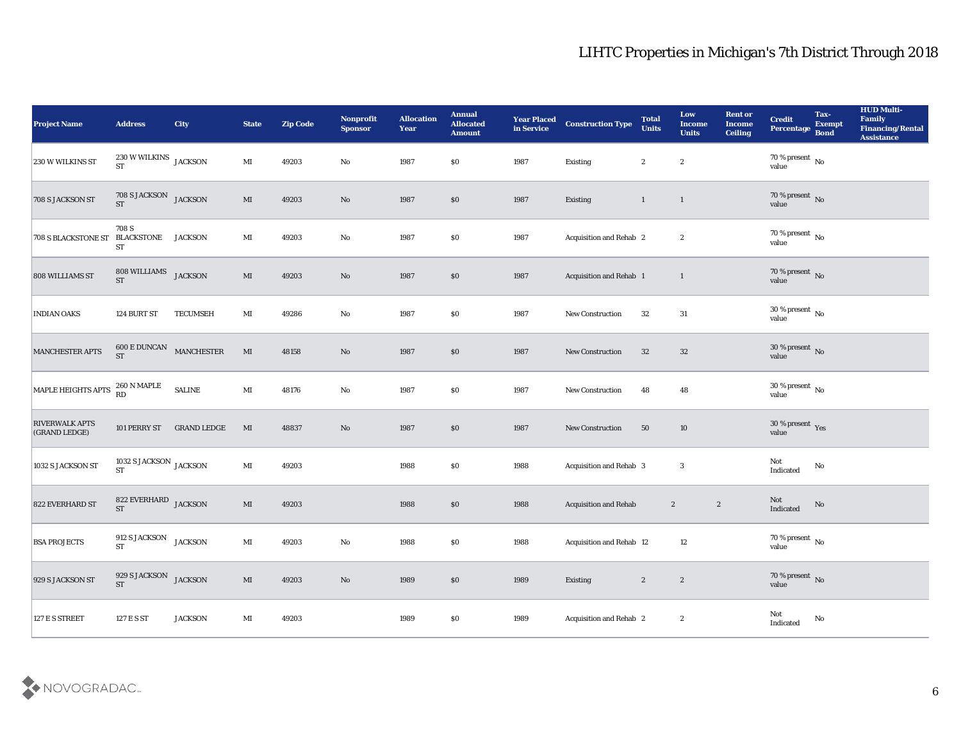| <b>Project Name</b>                    | <b>Address</b>                                  | City                    | <b>State</b>           | <b>Zip Code</b> | Nonprofit<br><b>Sponsor</b> | <b>Allocation</b><br>Year | <b>Annual</b><br><b>Allocated</b><br><b>Amount</b> | <b>Year Placed</b><br>in Service | <b>Construction Type</b>     | <b>Total</b><br><b>Units</b> | Low<br><b>Income</b><br><b>Units</b> | <b>Rent or</b><br>Income<br><b>Ceiling</b> | <b>Credit</b><br>Percentage                       | Tax-<br><b>Exempt</b><br><b>Bond</b> | <b>HUD Multi-</b><br>Family<br><b>Financing/Rental</b><br><b>Assistance</b> |
|----------------------------------------|-------------------------------------------------|-------------------------|------------------------|-----------------|-----------------------------|---------------------------|----------------------------------------------------|----------------------------------|------------------------------|------------------------------|--------------------------------------|--------------------------------------------|---------------------------------------------------|--------------------------------------|-----------------------------------------------------------------------------|
| 230 W WILKINS ST                       | $230\,\rm{W}\,\rm{WILKINS}$ JACKSON ST          |                         | $\mathbf{M}$ I         | 49203           | No                          | 1987                      | \$0                                                | 1987                             | Existing                     | $\boldsymbol{2}$             | $\boldsymbol{2}$                     |                                            | $70\,\%$ present $\,$ No value                    |                                      |                                                                             |
| 708 S JACKSON ST                       | $708$ S JACKSON $$\rm JACKSON$$ ST              |                         | $\mathbf{M}$           | 49203           | No                          | 1987                      | \$0                                                | 1987                             | Existing                     | $\mathbf{1}$                 | $\mathbf{1}$                         |                                            | $70\,\%$ present $\,$ No value                    |                                      |                                                                             |
| <b>708 S BLACKSTONE ST</b>             | 708 S<br><b>BLACKSTONE</b> JACKSON<br><b>ST</b> |                         | $\mathbf{M}\mathbf{I}$ | 49203           | $\rm\thinspace No$          | 1987                      | \$0                                                | 1987                             | Acquisition and Rehab 2      |                              | $\boldsymbol{2}$                     |                                            | $70\,\%$ present $\,$ No value                    |                                      |                                                                             |
| 808 WILLIAMS ST                        | 808 WILLIAMS JACKSON<br><b>ST</b>               |                         | $\mathbf{M}$           | 49203           | $\mathbf{N}\mathbf{o}$      | 1987                      | \$0                                                | 1987                             | Acquisition and Rehab 1      |                              | $\mathbf{1}$                         |                                            | $70\,\%$ present $\,$ No value                    |                                      |                                                                             |
| <b>INDIAN OAKS</b>                     | 124 BURT ST                                     | <b>TECUMSEH</b>         | $\mathbf{M}\mathbf{I}$ | 49286           | $\mathbf{No}$               | 1987                      | \$0                                                | 1987                             | New Construction             | 32                           | 31                                   |                                            | $30\,\%$ present $\,$ No value                    |                                      |                                                                             |
| MANCHESTER APTS                        | $600\,\mathrm{E}$ DUNCAN MANCHESTER ST          |                         | $\mathbf{M}\mathbf{I}$ | 48158           | $\mathbf{N}\mathbf{o}$      | 1987                      | \$0                                                | 1987                             | New Construction             | 32                           | 32                                   |                                            | $30\,\%$ present $\,$ No value                    |                                      |                                                                             |
| MAPLE HEIGHTS APTS                     | 260 N MAPLE<br>RD                               | $\operatorname{SALINE}$ | $\mathbf{M}\mathbf{I}$ | 48176           | $\mathbf {No}$              | 1987                      | \$0                                                | 1987                             | New Construction             | 48                           | 48                                   |                                            | $30\,\%$ present $\,$ No value                    |                                      |                                                                             |
| <b>RIVERWALK APTS</b><br>(GRAND LEDGE) | 101 PERRY ST                                    | <b>GRAND LEDGE</b>      | MI                     | 48837           | $\mathbf {No}$              | 1987                      | \$0                                                | 1987                             | New Construction             | 50                           | 10                                   |                                            | $30\,\%$ present $\,$ Yes value                   |                                      |                                                                             |
| 1032 S JACKSON ST                      | 1032 S JACKSON $_{\rm JACKSON}$<br><b>ST</b>    |                         | $\mathbf{M}$ I         | 49203           |                             | 1988                      | \$0                                                | 1988                             | Acquisition and Rehab 3      |                              | 3                                    |                                            | Not<br>$\label{thm:indicated} \textbf{Indicated}$ | $\rm No$                             |                                                                             |
| 822 EVERHARD ST                        | $822$ EVERHARD $\;$ JACKSON ST                  |                         | $\mathbf{M}$           | 49203           |                             | 1988                      | \$0                                                | 1988                             | <b>Acquisition and Rehab</b> | $\boldsymbol{2}$             | $\boldsymbol{2}$                     |                                            | Not<br>Indicated                                  | $\rm\thinspace No$                   |                                                                             |
| <b>BSA PROJECTS</b>                    | 912 S JACKSON JACKSON<br>${\bf ST}$             |                         | $\mathbf{M}\mathbf{I}$ | 49203           | $\rm\thinspace No$          | 1988                      | \$0                                                | 1988                             | Acquisition and Rehab 12     |                              | 12                                   |                                            | $70\,\%$ present $\,$ No value                    |                                      |                                                                             |
| 929 S JACKSON ST                       | 929 S JACKSON JACKSON<br><b>ST</b>              |                         | $\mathbf{M}\mathbf{I}$ | 49203           | $\mathbf {No}$              | 1989                      | $\$0$                                              | 1989                             | Existing                     | $\boldsymbol{2}$             | $\boldsymbol{2}$                     |                                            | $70\,\%$ present $\,$ No value                    |                                      |                                                                             |
| 127 E S STREET                         | 127 E S ST                                      | <b>JACKSON</b>          | $\mathbf{M}\mathbf{I}$ | 49203           |                             | 1989                      | $\$0$                                              | 1989                             | Acquisition and Rehab 2      |                              | $\mathbf{2}$                         |                                            | Not<br>Indicated                                  | $\rm\thinspace No$                   |                                                                             |

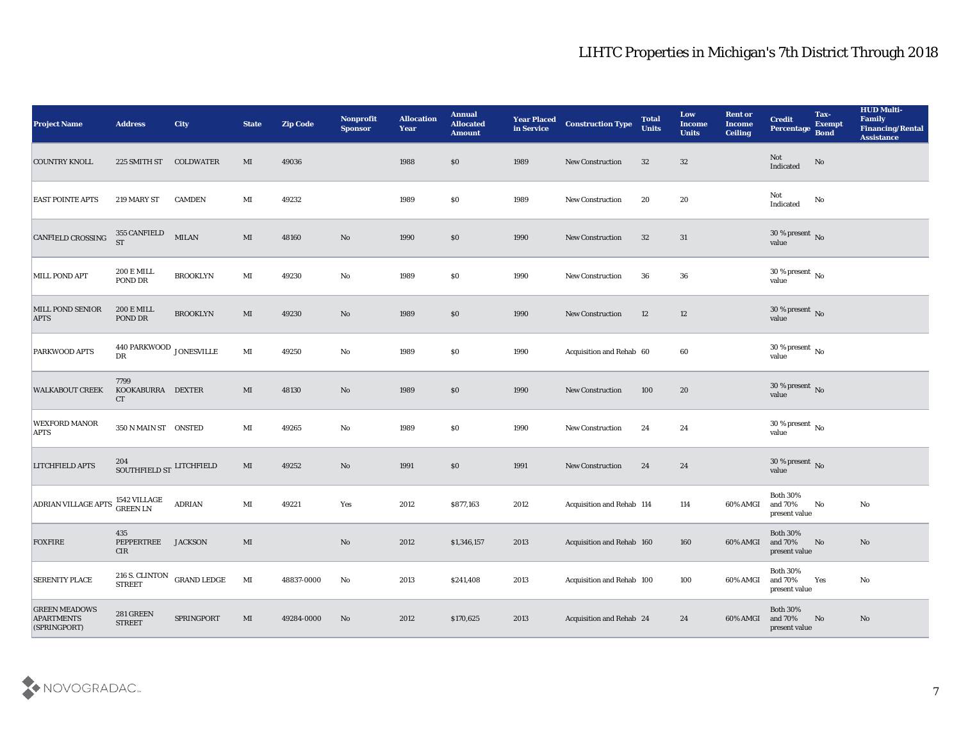| <b>Project Name</b>                                       | <b>Address</b>                                    | <b>City</b>                | <b>State</b>           | <b>Zip Code</b> | Nonprofit<br><b>Sponsor</b> | <b>Allocation</b><br>Year | <b>Annual</b><br><b>Allocated</b><br><b>Amount</b> | <b>Year Placed<br/>in Service</b> | <b>Construction Type</b>  | <b>Total</b><br><b>Units</b> | Low<br><b>Income</b><br><b>Units</b> | <b>Rent or</b><br><b>Income</b><br><b>Ceiling</b> | <b>Credit</b><br>Percentage                    | Tax-<br><b>Exempt</b><br><b>Bond</b> | <b>HUD Multi-</b><br>Family<br><b>Financing/Rental</b><br><b>Assistance</b> |
|-----------------------------------------------------------|---------------------------------------------------|----------------------------|------------------------|-----------------|-----------------------------|---------------------------|----------------------------------------------------|-----------------------------------|---------------------------|------------------------------|--------------------------------------|---------------------------------------------------|------------------------------------------------|--------------------------------------|-----------------------------------------------------------------------------|
| <b>COUNTRY KNOLL</b>                                      | 225 SMITH ST COLDWATER                            |                            | MI                     | 49036           |                             | 1988                      | \$0                                                | 1989                              | <b>New Construction</b>   | 32                           | 32                                   |                                                   | Not<br>Indicated                               | No                                   |                                                                             |
| <b>EAST POINTE APTS</b>                                   | 219 MARY ST                                       | <b>CAMDEN</b>              | MI                     | 49232           |                             | 1989                      | $\$0$                                              | 1989                              | New Construction          | 20                           | 20                                   |                                                   | Not<br>$\operatorname{Indicated}$              | No                                   |                                                                             |
| CANFIELD CROSSING                                         | 355 CANFIELD<br><b>ST</b>                         | $\textbf{MILAN}$           | $\mathbf{M}\mathbf{I}$ | 48160           | $\mathbf{N}\mathbf{o}$      | 1990                      | \$0                                                | 1990                              | New Construction          | 32                           | 31                                   |                                                   | $30\,\%$ present $\,$ No value                 |                                      |                                                                             |
| MILL POND APT                                             | $200\,\mathrm{E}\,\mathrm{MILL}$<br>POND DR       | <b>BROOKLYN</b>            | $\mathbf{M}$ I         | 49230           | $\mathbf {No}$              | 1989                      | $\$0$                                              | 1990                              | New Construction          | 36                           | 36                                   |                                                   | $30\,\%$ present $\,$ No value                 |                                      |                                                                             |
| MILL POND SENIOR<br><b>APTS</b>                           | <b>200 E MILL</b><br>POND DR                      | <b>BROOKLYN</b>            | MI                     | 49230           | $\mathbf{N}\mathbf{o}$      | 1989                      | \$0                                                | 1990                              | <b>New Construction</b>   | 12                           | 12                                   |                                                   | $30\,\%$ present $\,$ No value                 |                                      |                                                                             |
| PARKWOOD APTS                                             | 440 PARKWOOD JONESVILLE<br>$\mathbf{D}\mathbf{R}$ |                            | $\mathbf{M}\mathbf{I}$ | 49250           | $\mathbf {No}$              | 1989                      | \$0\$                                              | 1990                              | Acquisition and Rehab 60  |                              | 60                                   |                                                   | $30\,\%$ present $\,$ No value                 |                                      |                                                                             |
| <b>WALKABOUT CREEK</b>                                    | 7799<br>KOOKABURRA DEXTER<br>CT                   |                            | MI                     | 48130           | $\mathbf{N}\mathbf{o}$      | 1989                      | $\$0$                                              | 1990                              | New Construction          | 100                          | 20                                   |                                                   | $30\,\%$ present $\,$ No value                 |                                      |                                                                             |
| <b>WEXFORD MANOR</b><br><b>APTS</b>                       | 350 N MAIN ST ONSTED                              |                            | MI                     | 49265           | $\mathbf{No}$               | 1989                      | $\$0$                                              | 1990                              | New Construction          | 24                           | 24                                   |                                                   | $30\,\%$ present $\,$ No value                 |                                      |                                                                             |
| <b>LITCHFIELD APTS</b>                                    | 204<br>SOUTHFIELD ST LITCHFIELD                   |                            | $\mathbf{M}\mathbf{I}$ | 49252           | $\mathbf{N}\mathbf{o}$      | 1991                      | \$0                                                | 1991                              | <b>New Construction</b>   | 24                           | 24                                   |                                                   | $30\,\%$ present $\,$ No value                 |                                      |                                                                             |
| ADRIAN VILLAGE APTS 1542 VILLAGE                          |                                                   | <b>ADRIAN</b>              | $\mathbf{M}$ I         | 49221           | Yes                         | 2012                      | \$877,163                                          | 2012                              | Acquisition and Rehab 114 |                              | 114                                  | 60% AMGI                                          | <b>Both 30%</b><br>and 70%<br>present value    | No                                   | No                                                                          |
| <b>FOXFIRE</b>                                            | 435<br>PEPPERTREE<br>CIR                          | <b>JACKSON</b>             | MI                     |                 | $\mathbf{N}\mathbf{o}$      | 2012                      | \$1,346,157                                        | 2013                              | Acquisition and Rehab 160 |                              | 160                                  | 60% AMGI                                          | <b>Both 30%</b><br>and 70%<br>present value    | No                                   | No                                                                          |
| <b>SERENITY PLACE</b>                                     | <b>STREET</b>                                     | 216 S. CLINTON GRAND LEDGE | MI                     | 48837-0000      | $\mathbf{N}\mathbf{o}$      | 2013                      | \$241,408                                          | 2013                              | Acquisition and Rehab 100 |                              | 100                                  | 60% AMGI                                          | <b>Both 30%</b><br>and $70\%$<br>present value | Yes                                  | No                                                                          |
| <b>GREEN MEADOWS</b><br><b>APARTMENTS</b><br>(SPRINGPORT) | $281\,\mathrm{GREF}$<br><b>STREET</b>             | SPRINGPORT                 | $\mathbf{M}\mathbf{I}$ | 49284-0000      | $\mathbf{N}\mathbf{o}$      | 2012                      | \$170,625                                          | 2013                              | Acquisition and Rehab 24  |                              | 24                                   | 60% AMGI                                          | Both $30\%$<br>and $70\%$<br>present value     | No                                   | $\mathbf{N}\mathbf{o}$                                                      |

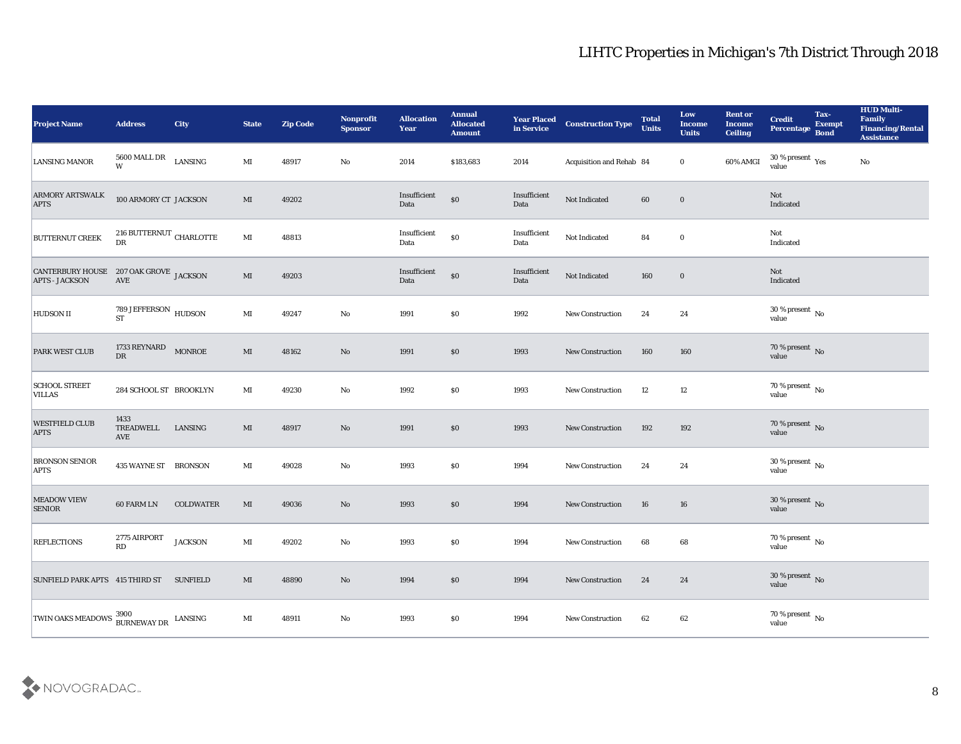| <b>Project Name</b>                                             | <b>Address</b>                                              | <b>City</b>      | <b>State</b>           | <b>Zip Code</b> | Nonprofit<br><b>Sponsor</b> | <b>Allocation</b><br><b>Year</b> | <b>Annual</b><br><b>Allocated</b><br><b>Amount</b> | Year Placed<br>in Service | <b>Construction Type</b> | <b>Total</b><br><b>Units</b> | Low<br><b>Income</b><br><b>Units</b> | <b>Rent or</b><br><b>Income</b><br><b>Ceiling</b> | <b>Credit</b><br>Percentage            | Tax-<br><b>Exempt</b><br><b>Bond</b> | <b>HUD Multi-</b><br>Family<br><b>Financing/Rental</b><br><b>Assistance</b> |
|-----------------------------------------------------------------|-------------------------------------------------------------|------------------|------------------------|-----------------|-----------------------------|----------------------------------|----------------------------------------------------|---------------------------|--------------------------|------------------------------|--------------------------------------|---------------------------------------------------|----------------------------------------|--------------------------------------|-----------------------------------------------------------------------------|
| <b>LANSING MANOR</b>                                            | 5600 MALL DR<br>W                                           | LANSING          | MI                     | 48917           | No                          | 2014                             | \$183,683                                          | 2014                      | Acquisition and Rehab 84 |                              | $\bf{0}$                             | 60% AMGI                                          | $30\,\%$ present $\,$ Yes value        |                                      | No                                                                          |
| <b>ARMORY ARTSWALK</b><br><b>APTS</b>                           | 100 ARMORY CT JACKSON                                       |                  | MI                     | 49202           |                             | Insufficient<br>Data             | $\$0$                                              | Insufficient<br>Data      | Not Indicated            | 60                           | $\bf{0}$                             |                                                   | Not<br>Indicated                       |                                      |                                                                             |
| <b>BUTTERNUT CREEK</b>                                          | 216 BUTTERNUT CHARLOTTE<br>DR                               |                  | $\mathbf{M}$ I         | 48813           |                             | Insufficient<br>Data             | $\$0$                                              | Insufficient<br>Data      | Not Indicated            | 84                           | $\bf{0}$                             |                                                   | Not<br>Indicated                       |                                      |                                                                             |
| CANTERBURY HOUSE 207 OAK GROVE JACKSON<br><b>APTS - JACKSON</b> | AVE                                                         |                  | $\mathbf{M}\mathbf{I}$ | 49203           |                             | Insufficient<br>Data             | $\$0$                                              | Insufficient<br>Data      | Not Indicated            | 160                          | $\bf{0}$                             |                                                   | Not<br>Indicated                       |                                      |                                                                             |
| HUDSON II                                                       | $789\:\mathrm{JEFFERSON}$ $_{\mathrm{HUDSON}}$<br><b>ST</b> |                  | MI                     | 49247           | $\mathbf{No}$               | 1991                             | \$0\$                                              | 1992                      | <b>New Construction</b>  | 24                           | 24                                   |                                                   | $30\,\%$ present $\,$ No value         |                                      |                                                                             |
| PARK WEST CLUB                                                  | 1733 REYNARD<br>${\rm D}{\rm R}$                            | <b>MONROE</b>    | MI                     | 48162           | No                          | 1991                             | $\$0$                                              | 1993                      | <b>New Construction</b>  | 160                          | 160                                  |                                                   | $70\,\%$ present $\,$ No value         |                                      |                                                                             |
| <b>SCHOOL STREET</b><br><b>VILLAS</b>                           | 284 SCHOOL ST BROOKLYN                                      |                  | MI                     | 49230           | No                          | 1992                             | $\$0$                                              | 1993                      | New Construction         | 12                           | 12                                   |                                                   | $70\,\%$ present $\,$ No value         |                                      |                                                                             |
| <b>WESTFIELD CLUB</b><br><b>APTS</b>                            | 1433<br>TREADWELL<br>AVE                                    | LANSING          | MI                     | 48917           | No                          | 1991                             | \$0                                                | 1993                      | <b>New Construction</b>  | 192                          | 192                                  |                                                   | $70\,\%$ present $\,$ No value         |                                      |                                                                             |
| <b>BRONSON SENIOR</b><br><b>APTS</b>                            | 435 WAYNE ST BRONSON                                        |                  | $\mathbf{M}$ I         | 49028           | No                          | 1993                             | \$0\$                                              | 1994                      | <b>New Construction</b>  | 24                           | 24                                   |                                                   | $30\,\%$ present $\,$ No value         |                                      |                                                                             |
| MEADOW VIEW<br><b>SENIOR</b>                                    | <b>60 FARM LN</b>                                           | <b>COLDWATER</b> | MI                     | 49036           | No                          | 1993                             | $\$0$                                              | 1994                      | <b>New Construction</b>  | 16                           | 16                                   |                                                   | $30\,\%$ present $\,$ No value         |                                      |                                                                             |
| <b>REFLECTIONS</b>                                              | 2775 AIRPORT<br>RD                                          | <b>JACKSON</b>   | MI                     | 49202           | No                          | 1993                             | \$0\$                                              | 1994                      | <b>New Construction</b>  | 68                           | 68                                   |                                                   | 70 % present $\overline{N_0}$<br>value |                                      |                                                                             |
| SUNFIELD PARK APTS 415 THIRD ST SUNFIELD                        |                                                             |                  | $\mathbf{M}\mathbf{I}$ | 48890           | $\mathbf {No}$              | 1994                             | $\$0$                                              | 1994                      | New Construction         | 24                           | 24                                   |                                                   | $30\,\%$ present $\,$ No value         |                                      |                                                                             |
| TWIN OAKS MEADOWS 3900 BURNEWAY DR LANSING                      |                                                             |                  | $\mathbf{M}\mathbf{I}$ | 48911           | $\mathbf {No}$              | 1993                             | \$0                                                | 1994                      | New Construction         | 62                           | $62\,$                               |                                                   | $70\,\%$ present $\,$ No value         |                                      |                                                                             |